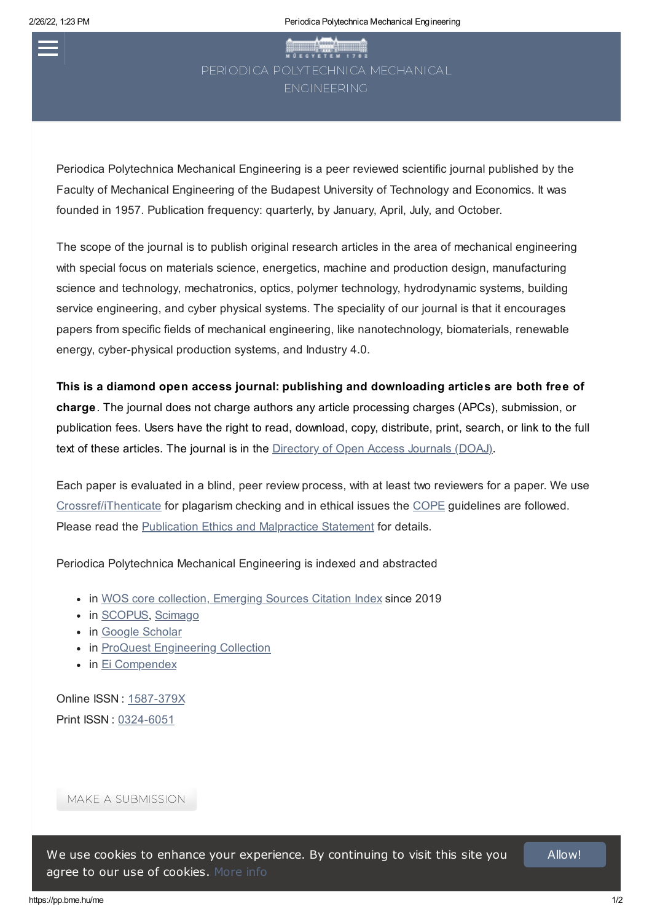# **WESTER 1782**

Periodica Polytechnica Mechanical Engineering is a peer reviewed scientific journal published by the Faculty of Mechanical Engineering of the Budapest University of Technology and Economics. It was founded in 1957. Publication frequency: quarterly, by January, April, July, and October.

The scope of the journal is to publish original research articles in the area of mechanical engineering with special focus on materials science, energetics, machine and production design, manufacturing science and technology, mechatronics, optics, polymer technology, hydrodynamic systems, building service engineering, and cyber physical systems. The speciality of our journal is that it encourages papers from specific fields of mechanical engineering, like nanotechnology, biomaterials, renewable energy, cyber-physical production systems, and Industry 4.0.

This is a diamond open access journal: publishing and downloading articles are both free of charge. The journal does not charge authors any article processing charges (APCs), submission, or publication fees. Users have the right to read, download, copy, distribute, print, search, or link to the full text of these articles. The journal is in the Directory of Open [Access Journals \(DOAJ\).](https://doaj.org/)

Each paper is evaluated in a blind, peer review process, with at least two reviewers for a paper. We use [Crossref/iThenticate](https://www.ithenticate.com/) for plagarism checking and in ethical issues the [COPE](https://publicationethics.org/) guidelines are followed. Please read the Publication Ethics and [Malpractice](https://pp.bme.hu/me/about/policies) Statement for details.

Periodica Polytechnica Mechanical Engineering is indexed and abstracted

- in WOS core collection, Emerging [Sources Citation](https://mjl.clarivate.com/search-results?issn=0324-6051&hide_exact_match_fl=true&utm_source=mjl&utm_medium=share-by-link&utm_campaign=search-results-share-this-journal) Index since 2019
- in [SCOPUS,](https://www.scopus.com/results/results.uri?numberOfFields=0&src=s&clickedLink=&edit=&editSaveSearch=&origin=searchbasic&authorTab=&affiliationTab=&advancedTab=&scint=1&menu=search&tablin=&searchterm1=periodica+polytechnica+mechanical+engineering&field1=SRCTITLE&dateType=Publication_Date_Type&yearFrom=Before+1960&yearTo=Present&loadDate=7&documenttype=All&subjects=LFSC&_subjects=on&subjects=HLSC&_subjects=on&subjects=PHSC&_subjects=on&subjects=SOSC&_subjects=on&st1=periodica+polytechnica+mechanical+engineering&st2=&sot=b&sdt=b&sl=55&s=SRCTITLE%28periodica+polytechnica+mechanical+engineering%29) [Scimago](http://www.scimagojr.com/journalsearch.php?q=21603&tip=sid&clean=0)
- in Google [Scholar](https://scholar.google.hu/scholar?q=periodica+polytechnica+mechanical+engineering&hl=en&as_sdt=1%2C5&as_ylo=2000&as_yhi=)
- in ProQuest [Engineering](http://www.csa.com/e_products/databases-collections.php) Collection
- in Ei [Compendex](https://www.elsevier.com/solutions/engineering-village/content/compendex)

Online ISSN : [1587-379X](http://www.worldcat.org/search?q=1587-379X) Print ISSN : [0324-6051](http://www.worldcat.org/search?q=0324-6051)

MAKE A [SUBMISSION](https://pp.bme.hu/me/about/submissions)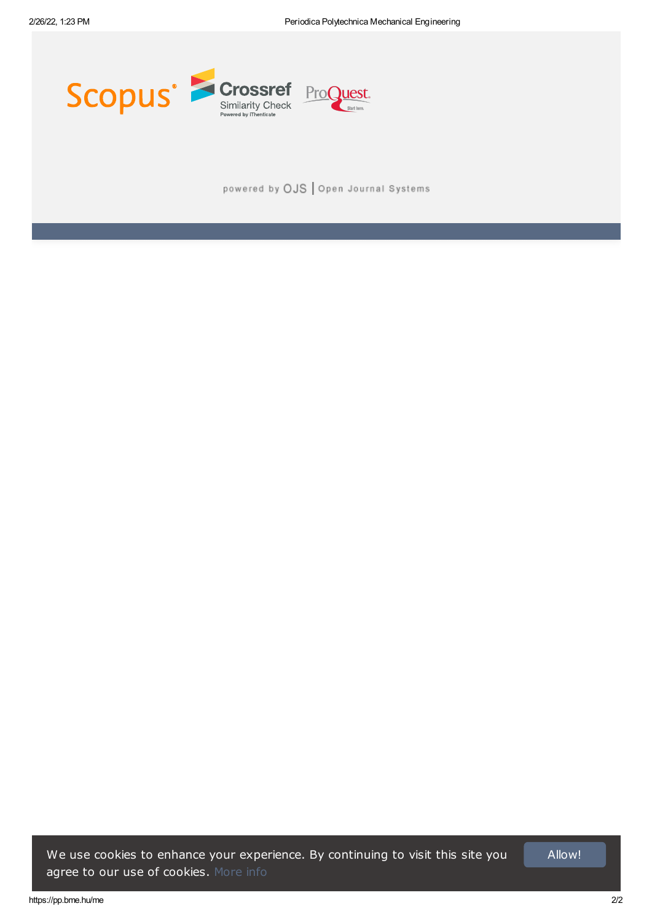

powered by OJS | Open Journal Systems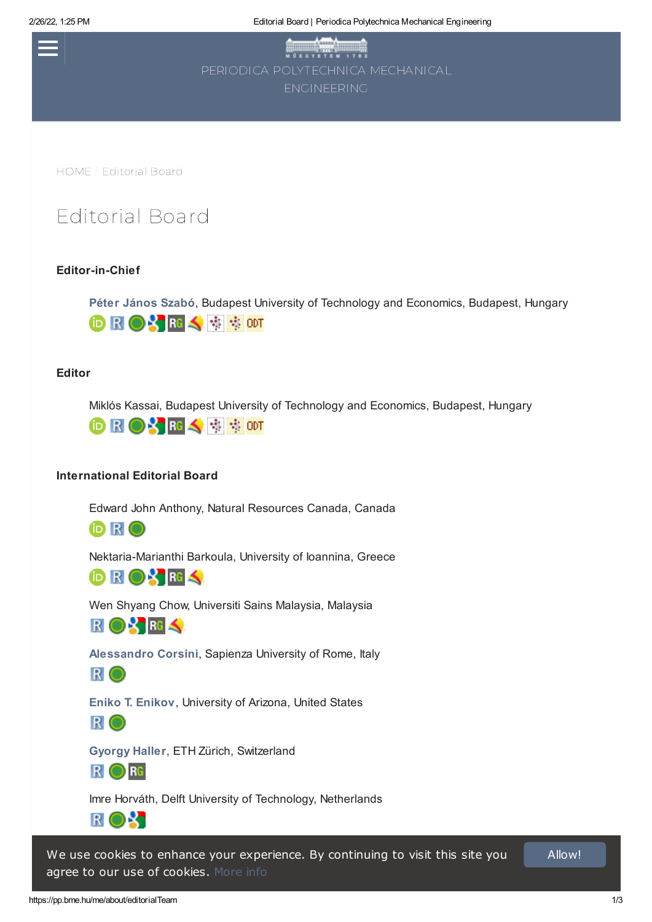2/26/22, 1:25 PM Editorial Board | Periodica Polytechnica Mechanical Engineering

WO E OVETEN 1782

[HOME](https://pp.bme.hu/me/index) / Editorial Board

# Editorial Board

## Editor-in-Chief

Péter [János](http://www.att.bme.hu/en/staff/szabo_peter_janos) Szabó, Budapest University of Technology and Economics, Budapest, Hungary **DROYES** \$ 500T

### Editor

Miklós Kassai, Budapest University of Technology and Economics, Budapest, Hungary



## International Editorial Board

Edward John Anthony, Natural Resources Canada, Canada

iD R O

Nektaria-Marianthi Barkoula, University of Ioannina, Greece



Wen Shyang Chow, Universiti Sains Malaysia, Malaysia

ROX RG

[Alessandro](https://corsidilaurea.uniroma1.it/it/users/alessandrocorsiniuniroma1it) Corsini, Sapienza University of Rome, Italy

R O

Eniko T. [Enikov](https://ame.engineering.arizona.edu/faculty-staff/faculty/eniko-t-enikov), University of Arizona, United States

R O

[Gyorgy](https://mavt.ethz.ch/people/faculty/professors.html) Haller, ETH Zürich, Switzerland



Imre Horváth, Delft University of Technology, Netherlands

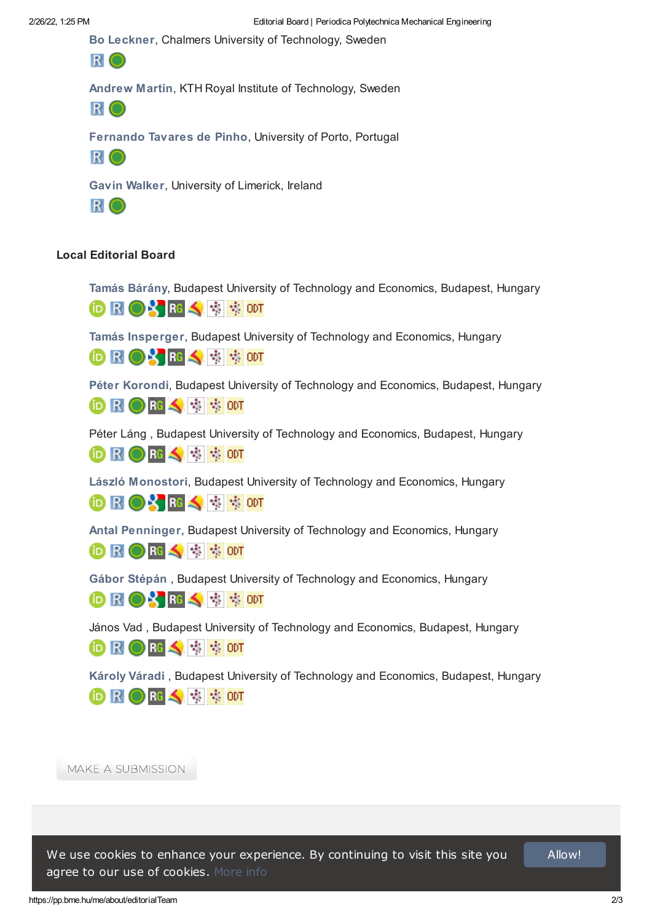Bo [Leckner](http://www.chalmers.se/en/staff/Pages/bo-g-leckner.aspx), Chalmers University of Technology, Sweden



[Andrew](https://www.kth.se/profile/andrewm?l=en) Martin, KTH Royal Institute of Technology, Sweden



[Fernando](https://sigarra.up.pt/feup/pt/func_geral.formview?p_codigo=209751) Tavares de Pinho, University of Porto, Portugal



Gavin [Walker](http://ulsites.ul.ie/ces/gavin-walker-bio), University of Limerick, Ireland



## Local Editorial Board

Tamás [Bárány](http://www.pt.bme.hu/munkatarsadatlap.php?id=9y2mds2rx4bu78o23u92smfrfy7h7955b2h8u6g8&l=a), Budapest University of Technology and Economics, Budapest, Hungary

**DROSRS ® \$ \$ om** 

Tamás [Insperger](https://www.mm.bme.hu/~insperger/), Budapest University of Technology and Economics, Hungary

**DROYES** \$ \$ ODT

Péter [Korondi](https://mogi.bme.hu/?p=staff&show=25&lang=en), Budapest University of Technology and Economics, Budapest, Hungary



Péter Láng , Budapest University of Technology and Economics, Budapest, Hungary

**DROHS** 零90T

László [Monostori](https://manuf.bme.hu/?page_id=1326&lang=en), Budapest University of Technology and Economics, Hungary

**DROYES # # 00T** 

Antal [Penninger](http://www.energia.bme.hu/english/staff/76-penninger-antal), Budapest University of Technology and Economics, Hungary

**iD R ● R ◆ 母 零 ODT** 

Gábor [Stépán](https://www.mm.bme.hu/~stepan/) , Budapest University of Technology and Economics, Hungary

**DROYES** \$ 500T

János Vad , Budapest University of Technology and Economics, Budapest, Hungary

**DROHS** 零 800T

[Károly](https://gt3.bme.hu/index.php?option=com_contact&task=view&contact_id=4&Itemid=3&lang=english) Váradi , Budapest University of Technology and Economics, Budapest, Hungary **DRODES** \$ 500T

MAKE A [SUBMISSION](https://pp.bme.hu/me/about/submissions)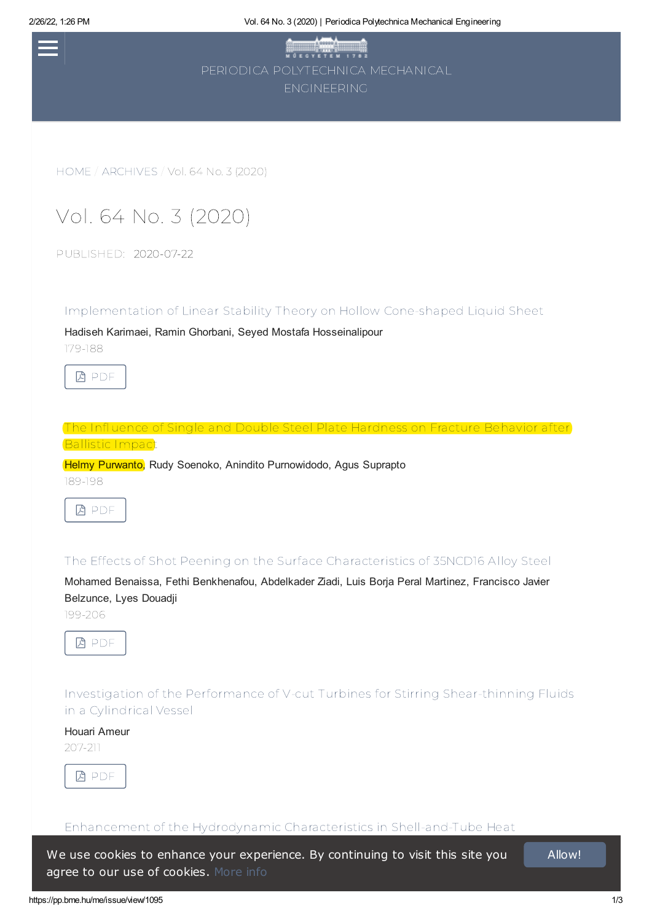2/26/22, 1:26 PM Vol. 64 No. 3 (2020) | Periodica Polytechnica Mechanical Engineering

| M O E G Y E T E M 1782            |  |
|-----------------------------------|--|
| PERIODICA POI YTECHNICA MECHANICA |  |
| <b>FNGINFFRING</b>                |  |

[HOME](https://pp.bme.hu/me/index) / [ARCHIVES](https://pp.bme.hu/me/issue/archive) / Vol. 64 No. 3 (2020)

# Vol. 64 No. 3 (2020)

PUBLISHED: 2020-07-22

[Implementation](https://pp.bme.hu/me/article/view/11727) of Linear Stability Theory on Hollow Cone-shaped Liquid Sheet

Hadiseh Karimaei, Ramin Ghorbani, Seyed Mostafa Hosseinalipour 179-188



The [Influence](https://pp.bme.hu/me/article/view/11780) of Single and Double Steel Plate Hardness on Fracture Behavior after Ballistic Impact

Helmy Purwanto, Rudy Soenoko, Anindito Purnowidodo, Agus Suprapto

189-198



The Effects of Shot Peening on the Surface [Characteristics](https://pp.bme.hu/me/article/view/13229) of 35NCD16 Alloy Steel

Mohamed Benaissa, Fethi Benkhenafou, Abdelkader Ziadi, Luis Borja Peral Martinez, Francisco Javier Belzunce, Lyes Douadji

199-206



Investigation of the Performance of V-cut Turbines for Stirring [Shear-thinning](https://pp.bme.hu/me/article/view/13359) Fluids in a Cylindrical Vessel

#### Houari Ameur

207-211



Enhancement of the Hydrodynamic Characteristics in [Shell-and-Tube](https://pp.bme.hu/me/article/view/15493) Heat

Younes Menni, Ali J. Chamkha, Houari Ameur, Mustafa Inc **agree to our use of cookies.** [More](https://pp.bme.hu/me/about/policies) info We use cookies to enhance your experience. By continuing to visit this site you and allow!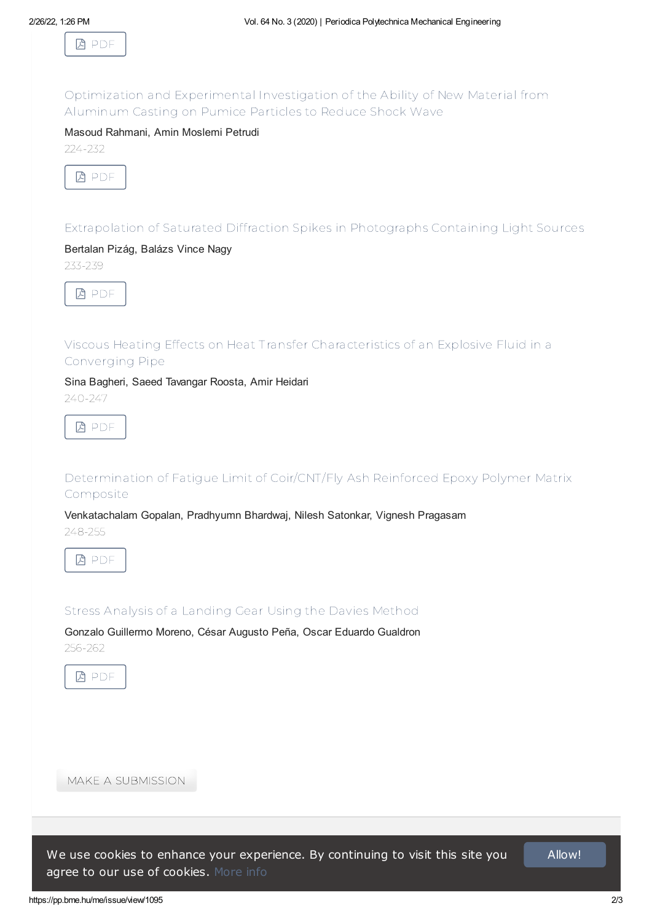

Optimization and [Experimental](https://pp.bme.hu/me/article/view/15983) Investigation of the Ability of New Material from Aluminum Casting on Pumice Particles to Reduce Shock Wave

#### Masoud Rahmani, Amin Moslemi Petrudi

224-232



[Extrapolation](https://pp.bme.hu/me/article/view/16044) of Saturated Diffraction Spikes in Photographs Containing Light Sources

## Bertalan Pizág, Balázs Vince Nagy

233-239



## Viscous Heating Effects on Heat Transfer [Characteristics](https://pp.bme.hu/me/article/view/16085) of an Explosive Fluid in a Converging Pipe

Sina Bagheri, Saeed Tavangar Roosta, Amir Heidari

240-247



[Determination](https://pp.bme.hu/me/article/view/16211) of Fatigue Limit of Coir/CNT/Fly Ash Reinforced Epoxy Polymer Matrix Composite

Venkatachalam Gopalan, Pradhyumn Bhardwaj, Nilesh Satonkar, Vignesh Pragasam 248-255



Stress Analysis of a [Landing](https://pp.bme.hu/me/article/view/16392) Gear Using the Davies Method

Gonzalo Guillermo Moreno, César Augusto Peña, Oscar Eduardo Gualdron 256-262



MAKE A [SUBMISSION](https://pp.bme.hu/me/about/submissions)